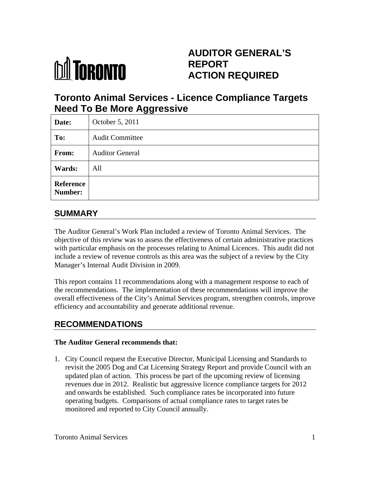

# **AUDITOR GENERAL'S REPORT ACTION REQUIRED**

# **Toronto Animal Services - Licence Compliance Targets Need To Be More Aggressive**

| Date:                | October 5, 2011        |
|----------------------|------------------------|
| To:                  | <b>Audit Committee</b> |
| From:                | <b>Auditor General</b> |
| <b>Wards:</b>        | All                    |
| Reference<br>Number: |                        |

### **SUMMARY**

The Auditor General's Work Plan included a review of Toronto Animal Services. The objective of this review was to assess the effectiveness of certain administrative practices with particular emphasis on the processes relating to Animal Licences. This audit did not include a review of revenue controls as this area was the subject of a review by the City Manager's Internal Audit Division in 2009.

This report contains 11 recommendations along with a management response to each of the recommendations. The implementation of these recommendations will improve the overall effectiveness of the City's Animal Services program, strengthen controls, improve efficiency and accountability and generate additional revenue.

## **RECOMMENDATIONS**

#### **The Auditor General recommends that:**

1. City Council request the Executive Director, Municipal Licensing and Standards to revisit the 2005 Dog and Cat Licensing Strategy Report and provide Council with an updated plan of action. This process be part of the upcoming review of licensing revenues due in 2012. Realistic but aggressive licence compliance targets for 2012 and onwards be established. Such compliance rates be incorporated into future operating budgets. Comparisons of actual compliance rates to target rates be monitored and reported to City Council annually.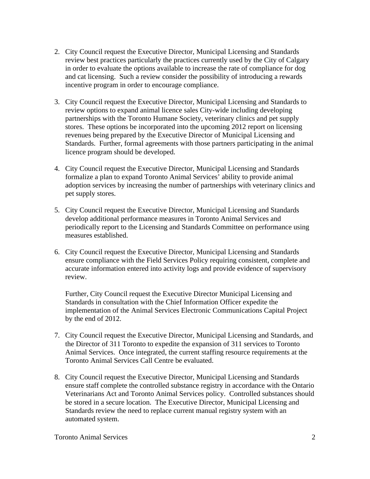- 2. City Council request the Executive Director, Municipal Licensing and Standards review best practices particularly the practices currently used by the City of Calgary in order to evaluate the options available to increase the rate of compliance for dog and cat licensing. Such a review consider the possibility of introducing a rewards incentive program in order to encourage compliance.
- 3. City Council request the Executive Director, Municipal Licensing and Standards to review options to expand animal licence sales City-wide including developing partnerships with the Toronto Humane Society, veterinary clinics and pet supply stores. These options be incorporated into the upcoming 2012 report on licensing revenues being prepared by the Executive Director of Municipal Licensing and Standards. Further, formal agreements with those partners participating in the animal licence program should be developed.
- 4. City Council request the Executive Director, Municipal Licensing and Standards formalize a plan to expand Toronto Animal Services' ability to provide animal adoption services by increasing the number of partnerships with veterinary clinics and pet supply stores.
- 5. City Council request the Executive Director, Municipal Licensing and Standards develop additional performance measures in Toronto Animal Services and periodically report to the Licensing and Standards Committee on performance using measures established.
- 6. City Council request the Executive Director, Municipal Licensing and Standards ensure compliance with the Field Services Policy requiring consistent, complete and accurate information entered into activity logs and provide evidence of supervisory review.

Further, City Council request the Executive Director Municipal Licensing and Standards in consultation with the Chief Information Officer expedite the implementation of the Animal Services Electronic Communications Capital Project by the end of 2012.

- 7. City Council request the Executive Director, Municipal Licensing and Standards, and the Director of 311 Toronto to expedite the expansion of 311 services to Toronto Animal Services. Once integrated, the current staffing resource requirements at the Toronto Animal Services Call Centre be evaluated.
- 8. City Council request the Executive Director, Municipal Licensing and Standards ensure staff complete the controlled substance registry in accordance with the Ontario Veterinarians Act and Toronto Animal Services policy. Controlled substances should be stored in a secure location. The Executive Director, Municipal Licensing and Standards review the need to replace current manual registry system with an automated system.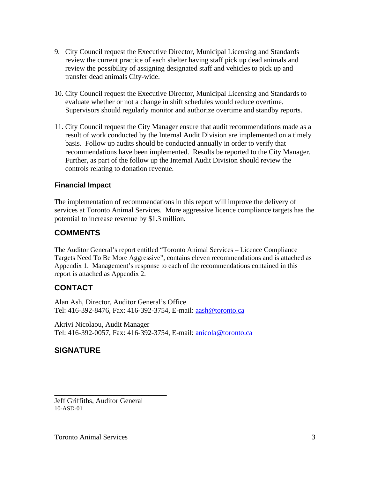- 9. City Council request the Executive Director, Municipal Licensing and Standards review the current practice of each shelter having staff pick up dead animals and review the possibility of assigning designated staff and vehicles to pick up and transfer dead animals City-wide.
- 10. City Council request the Executive Director, Municipal Licensing and Standards to evaluate whether or not a change in shift schedules would reduce overtime. Supervisors should regularly monitor and authorize overtime and standby reports.
- 11. City Council request the City Manager ensure that audit recommendations made as a result of work conducted by the Internal Audit Division are implemented on a timely basis. Follow up audits should be conducted annually in order to verify that recommendations have been implemented. Results be reported to the City Manager. Further, as part of the follow up the Internal Audit Division should review the controls relating to donation revenue.

#### **Financial Impact**

The implementation of recommendations in this report will improve the delivery of services at Toronto Animal Services. More aggressive licence compliance targets has the potential to increase revenue by \$1.3 million.

#### **COMMENTS**

The Auditor General's report entitled "Toronto Animal Services – Licence Compliance Targets Need To Be More Aggressive", contains eleven recommendations and is attached as Appendix 1. Management's response to each of the recommendations contained in this report is attached as Appendix 2.

#### **CONTACT**

Alan Ash, Director, Auditor General's Office Tel: 416-392-8476, Fax: 416-392-3754, E-mail: aash@toronto.ca

Akrivi Nicolaou, Audit Manager Tel: 416-392-0057, Fax: 416-392-3754, E-mail: anicola@toronto.ca

#### **SIGNATURE**

Jeff Griffiths, Auditor General 10-ASD-01

 $\overline{\phantom{a}}$  , we can assume that the contract of  $\overline{\phantom{a}}$  , we can assume that the contract of  $\overline{\phantom{a}}$